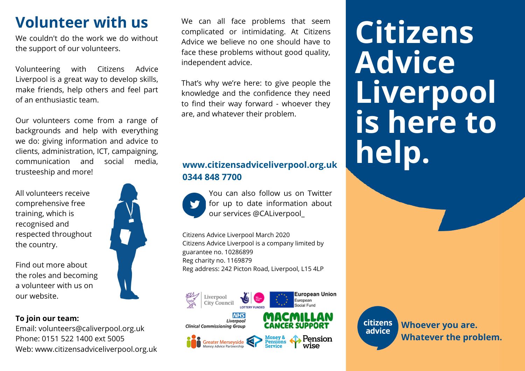## **Volunteer with us**

We couldn't do the work we do without the support of our volunteers.

Volunteering with Citizens Advice Liverpool is a great way to develop skills, make friends, help others and feel part of an enthusiastic team.

Our volunteers come from a range of backgrounds and help with everything we do: giving information and advice to clients, administration, ICT, campaigning, communication and social media, trusteeship and more!

All volunteers receive comprehensive free training, which is recognised and respected throughout the country.

Find out more about the roles and becoming a volunteer with us on our website.

#### **To join our team:**

Email: volunteers@caliverpool.org.uk Phone: 0151 522 1400 ext 5005 Web: www.citizensadviceliverpool.org.uk

We can all face problems that seem complicated or intimidating. At Citizens Advice we believe no one should have to face these problems without good quality, independent advice.

That's why we're here: to give people the knowledge and the confidence they need to find their way forward - whoever they are, and whatever their problem.

#### **www.citizensadviceliverpool.org.uk 0344 848 7700**



You can also follow us on Twitter for up to date information about our services @CALiverpool\_

European Union

Pension<br>wise

citizens

advice

European

Citizens Advice Liverpool March 2020 Citizens Advice Liverpool is a company limited by guarantee no. 10286899 Reg charity no. 1169879 Reg address: 242 Picton Road, Liverpool, L15 4LP







**Whoever you are. Whatever the problem.**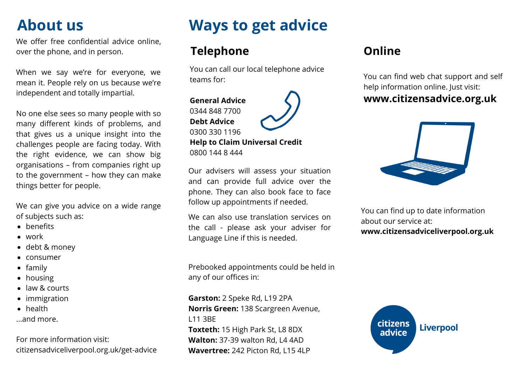# **About us**

We offer free confidential advice online, over the phone, and in person.

When we say we're for everyone, we mean it. People rely on us because we're independent and totally impartial.

No one else sees so many people with so many different kinds of problems, and that gives us a unique insight into the challenges people are facing today. With the right evidence, we can show big organisations – from companies right up to the government – how they can make things better for people.

We can give you advice on a wide range of subjects such as:

- benefits
- work
- debt & money
- consumer
- $\bullet$  family
- housing
- law & courts
- immigration
- health
- ...and more.

For more information visit: citizensadviceliverpool.org.uk/get-advice

# **Ways to get advice**

## **Telephone Online**

You can call our local telephone advice teams for:

### **General Advice** 0344 848 7700 **Debt Advice** 0300 330 1196

**Help to Claim Universal Credit** 0800 144 8 444

Our advisers will assess your situation and can provide full advice over the phone. They can also book face to face follow up appointments if needed.

We can also use translation services on the call - please ask your adviser for Language Line if this is needed.

Prebooked appointments could be held in any of our offices in:

**Garston:** 2 Speke Rd, L19 2PA **Norris Green:** 138 Scargreen Avenue, L11 3BE **Toxteth:** 15 High Park St, L8 8DX **Walton:** 37-39 walton Rd, L4 4AD **Wavertree:** 242 Picton Rd, L15 4LP

You can find web chat support and self help information online. Just visit: **www.citizensadvice.org.uk**

You can find up to date information about our service at: **www.citizensadviceliverpool.org.uk**